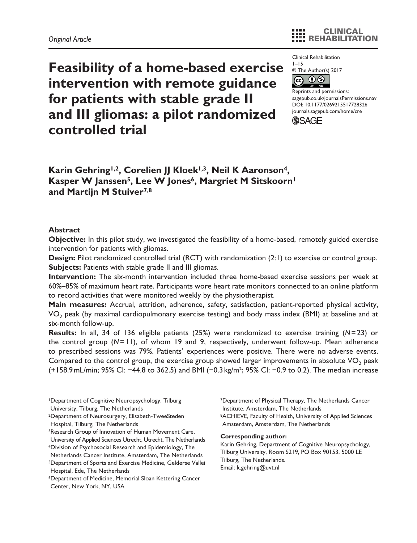Clinical Rehabilitation

 $1 - 15$ © The Author(s) 2017



https://doi.org/10.1177/0269215517728326 DOI: 10.1177/0269215517728326 Reprints and permissions: [sagepub.co.uk/journalsPermissions.nav](https://uk.sagepub.com/en-gb/journals-permissions) [journals.sagepub.com/home/cre](https://journals.sagepub.com/home/cre)



**Feasibility of a home-based exercise intervention with remote guidance for patients with stable grade II and III gliomas: a pilot randomized controlled trial**

Karin Gehring<sup>1,2</sup>, Corelien JJ Kloek<sup>1,3</sup>, Neil K Aaronson<sup>4</sup>, Kasper W Janssen<sup>5</sup>, Lee W Jones<sup>6</sup>, Margriet M Sitskoorn<sup>1</sup> **and Martijn M Stuiver7,8**

### **Abstract**

**Objective:** In this pilot study, we investigated the feasibility of a home-based, remotely guided exercise intervention for patients with gliomas.

**Design:** Pilot randomized controlled trial (RCT) with randomization (2:1) to exercise or control group. **Subjects:** Patients with stable grade II and III gliomas.

**Intervention:** The six-month intervention included three home-based exercise sessions per week at 60%–85% of maximum heart rate. Participants wore heart rate monitors connected to an online platform to record activities that were monitored weekly by the physiotherapist.

**Main measures:** Accrual, attrition, adherence, safety, satisfaction, patient-reported physical activity, VO<sub>2</sub> peak (by maximal cardiopulmonary exercise testing) and body mass index (BMI) at baseline and at six-month follow-up.

**Results:** In all, 34 of 136 eligible patients (25%) were randomized to exercise training (*N*=23) or the control group (*N*=11), of whom 19 and 9, respectively, underwent follow-up. Mean adherence to prescribed sessions was 79%. Patients' experiences were positive. There were no adverse events. Compared to the control group, the exercise group showed larger improvements in absolute  $VO<sub>2</sub>$  peak (+158.9mL/min; 95% CI: −44.8 to 362.5) and BMI (−0.3 kg/m²; 95% CI: −0.9 to 0.2). The median increase

3Research Group of Innovation of Human Movement Care,

7Department of Physical Therapy, The Netherlands Cancer Institute, Amsterdam, The Netherlands 8ACHIEVE, Faculty of Health, University of Applied Sciences Amsterdam, Amsterdam, The Netherlands

#### **Corresponding author:**

Karin Gehring, Department of Cognitive Neuropsychology, Tilburg University, Room S219, PO Box 90153, 5000 LE Tilburg, The Netherlands. Email: [k.gehring@uvt.nl](mailto:k.gehring@uvt.nl)

<sup>1</sup>Department of Cognitive Neuropsychology, Tilburg University, Tilburg, The Netherlands

<sup>2</sup>Department of Neurosurgery, Elisabeth-TweeSteden Hospital, Tilburg, The Netherlands

University of Applied Sciences Utrecht, Utrecht, The Netherlands 4Division of Psychosocial Research and Epidemiology, The Netherlands Cancer Institute, Amsterdam, The Netherlands

<sup>5</sup>Department of Sports and Exercise Medicine, Gelderse Vallei Hospital, Ede, The Netherlands

<sup>6</sup>Department of Medicine, Memorial Sloan Kettering Cancer Center, New York, NY, USA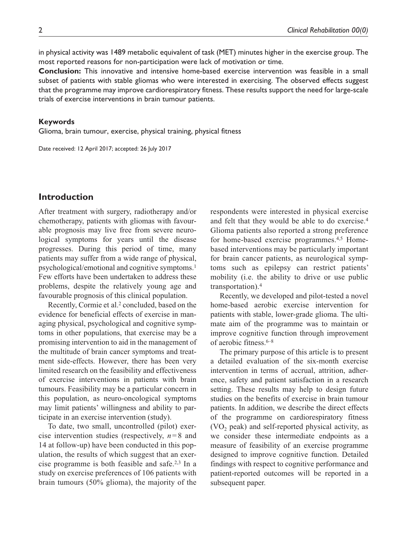in physical activity was 1489 metabolic equivalent of task (MET) minutes higher in the exercise group. The most reported reasons for non-participation were lack of motivation or time.

**Conclusion:** This innovative and intensive home-based exercise intervention was feasible in a small subset of patients with stable gliomas who were interested in exercising. The observed effects suggest that the programme may improve cardiorespiratory fitness. These results support the need for large-scale trials of exercise interventions in brain tumour patients.

### **Keywords**

Glioma, brain tumour, exercise, physical training, physical fitness

Date received: 12 April 2017; accepted: 26 July 2017

# **Introduction**

After treatment with surgery, radiotherapy and/or chemotherapy, patients with gliomas with favourable prognosis may live free from severe neurological symptoms for years until the disease progresses. During this period of time, many patients may suffer from a wide range of physical, psychological/emotional and cognitive symptoms.1 Few efforts have been undertaken to address these problems, despite the relatively young age and favourable prognosis of this clinical population.

Recently, Cormie et al.2 concluded, based on the evidence for beneficial effects of exercise in managing physical, psychological and cognitive symptoms in other populations, that exercise may be a promising intervention to aid in the management of the multitude of brain cancer symptoms and treatment side-effects. However, there has been very limited research on the feasibility and effectiveness of exercise interventions in patients with brain tumours. Feasibility may be a particular concern in this population, as neuro-oncological symptoms may limit patients' willingness and ability to participate in an exercise intervention (study).

To date, two small, uncontrolled (pilot) exercise intervention studies (respectively,  $n=8$  and 14 at follow-up) have been conducted in this population, the results of which suggest that an exercise programme is both feasible and safe.2,3 In a study on exercise preferences of 106 patients with brain tumours (50% glioma), the majority of the respondents were interested in physical exercise and felt that they would be able to do exercise.4 Glioma patients also reported a strong preference for home-based exercise programmes.4,5 Homebased interventions may be particularly important for brain cancer patients, as neurological symptoms such as epilepsy can restrict patients' mobility (i.e. the ability to drive or use public transportation).4

Recently, we developed and pilot-tested a novel home-based aerobic exercise intervention for patients with stable, lower-grade glioma. The ultimate aim of the programme was to maintain or improve cognitive function through improvement of aerobic fitness.6–8

The primary purpose of this article is to present a detailed evaluation of the six-month exercise intervention in terms of accrual, attrition, adherence, safety and patient satisfaction in a research setting. These results may help to design future studies on the benefits of exercise in brain tumour patients. In addition, we describe the direct effects of the programme on cardiorespiratory fitness  $(VO<sub>2</sub>)$  peak) and self-reported physical activity, as we consider these intermediate endpoints as a measure of feasibility of an exercise programme designed to improve cognitive function. Detailed findings with respect to cognitive performance and patient-reported outcomes will be reported in a subsequent paper.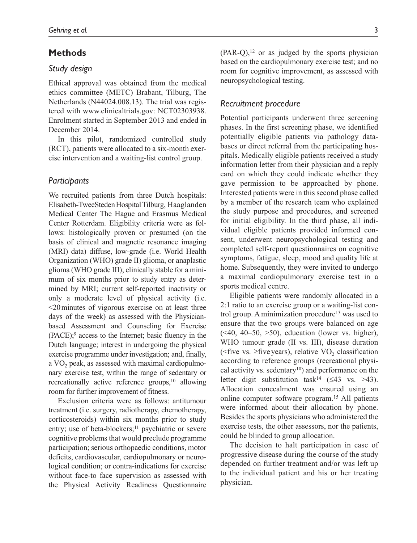## **Methods**

## *Study design*

Ethical approval was obtained from the medical ethics committee (METC) Brabant, Tilburg, The Netherlands (N44024.008.13). The trial was registered with [www.clinicaltrials.gov:](www.clinicaltrials.gov) NCT02303938. Enrolment started in September 2013 and ended in December 2014.

In this pilot, randomized controlled study (RCT), patients were allocated to a six-month exercise intervention and a waiting-list control group.

## *Participants*

We recruited patients from three Dutch hospitals: Elisabeth-TweeSteden Hospital Tilburg, Haaglanden Medical Center The Hague and Erasmus Medical Center Rotterdam. Eligibility criteria were as follows: histologically proven or presumed (on the basis of clinical and magnetic resonance imaging (MRI) data) diffuse, low-grade (i.e. World Health Organization (WHO) grade II) glioma, or anaplastic glioma (WHO grade III); clinically stable for a minimum of six months prior to study entry as determined by MRI; current self-reported inactivity or only a moderate level of physical activity (i.e. <20minutes of vigorous exercise on at least three days of the week) as assessed with the Physicianbased Assessment and Counseling for Exercise (PACE);9 access to the Internet; basic fluency in the Dutch language; interest in undergoing the physical exercise programme under investigation; and, finally, a  $VO<sub>2</sub>$  peak, as assessed with maximal cardiopulmonary exercise test, within the range of sedentary or recreationally active reference groups,<sup>10</sup> allowing room for further improvement of fitness.

Exclusion criteria were as follows: antitumour treatment (i.e. surgery, radiotherapy, chemotherapy, corticosteroids) within six months prior to study entry; use of beta-blockers;<sup>11</sup> psychiatric or severe cognitive problems that would preclude programme participation; serious orthopaedic conditions, motor deficits, cardiovascular, cardiopulmonary or neurological condition; or contra-indications for exercise without face-to face supervision as assessed with the Physical Activity Readiness Questionnaire  $(PAR-Q),<sup>12</sup>$  or as judged by the sports physician based on the cardiopulmonary exercise test; and no room for cognitive improvement, as assessed with neuropsychological testing.

## *Recruitment procedure*

Potential participants underwent three screening phases. In the first screening phase, we identified potentially eligible patients via pathology databases or direct referral from the participating hospitals. Medically eligible patients received a study information letter from their physician and a reply card on which they could indicate whether they gave permission to be approached by phone. Interested patients were in this second phase called by a member of the research team who explained the study purpose and procedures, and screened for initial eligibility. In the third phase, all individual eligible patients provided informed consent, underwent neuropsychological testing and completed self-report questionnaires on cognitive symptoms, fatigue, sleep, mood and quality life at home. Subsequently, they were invited to undergo a maximal cardiopulmonary exercise test in a sports medical centre.

Eligible patients were randomly allocated in a 2:1 ratio to an exercise group or a waiting-list control group. A minimization procedure<sup>13</sup> was used to ensure that the two groups were balanced on age  $(\leq 40, 40 - 50, > 50)$ , education (lower vs. higher), WHO tumour grade (II vs. III), disease duration ( $\le$ five vs.  $\ge$ five years), relative VO<sub>2</sub> classification according to reference groups (recreational physical activity vs. sedentary $10$ ) and performance on the letter digit substitution task<sup>14</sup> (≤43 vs. >43). Allocation concealment was ensured using an online computer software program.15 All patients were informed about their allocation by phone. Besides the sports physicians who administered the exercise tests, the other assessors, nor the patients, could be blinded to group allocation.

The decision to halt participation in case of progressive disease during the course of the study depended on further treatment and/or was left up to the individual patient and his or her treating physician.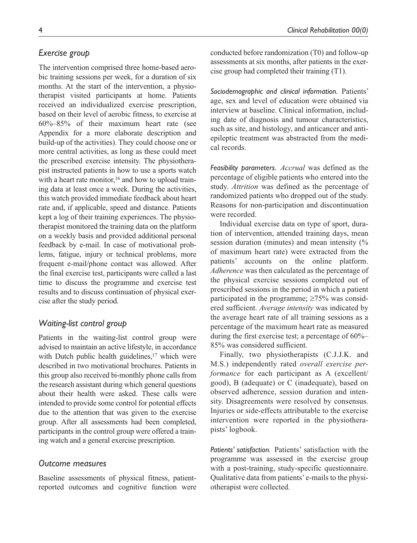## *Exercise group*

The intervention comprised three home-based aerobic training sessions per week, for a duration of six months. At the start of the intervention, a physiotherapist visited participants at home. Patients received an individualized exercise prescription, based on their level of aerobic fitness, to exercise at 60%–85% of their maximum heart rate (see Appendix for a more elaborate description and build-up of the activities). They could choose one or more central activities, as long as these could meet the prescribed exercise intensity. The physiotherapist instructed patients in how to use a sports watch with a heart rate monitor,<sup>16</sup> and how to upload training data at least once a week. During the activities, this watch provided immediate feedback about heart rate and, if applicable, speed and distance. Patients kept a log of their training experiences. The physiotherapist monitored the training data on the platform on a weekly basis and provided additional personal feedback by e-mail. In case of motivational problems, fatigue, injury or technical problems, more frequent e-mail/phone contact was allowed. After the final exercise test, participants were called a last time to discuss the programme and exercise test results and to discuss continuation of physical exercise after the study period.

## *Waiting-list control group*

Patients in the waiting-list control group were advised to maintain an active lifestyle, in accordance with Dutch public health guidelines, $17$  which were described in two motivational brochures. Patients in this group also received bi-monthly phone calls from the research assistant during which general questions about their health were asked. These calls were intended to provide some control for potential effects due to the attention that was given to the exercise group. After all assessments had been completed, participants in the control group were offered a training watch and a general exercise prescription.

## *Outcome measures*

Baseline assessments of physical fitness, patientreported outcomes and cognitive function were conducted before randomization (T0) and follow-up assessments at six months, after patients in the exercise group had completed their training (T1).

*Sociodemographic and clinical information.* Patients' age, sex and level of education were obtained via interview at baseline. Clinical information, including date of diagnosis and tumour characteristics, such as site, and histology, and anticancer and antiepileptic treatment was abstracted from the medical records.

*Feasibility parameters. Accrual* was defined as the percentage of eligible patients who entered into the study. *Attrition* was defined as the percentage of randomized patients who dropped out of the study. Reasons for non-participation and discontinuation were recorded.

Individual exercise data on type of sport, duration of intervention, attended training days, mean session duration (minutes) and mean intensity (% of maximum heart rate) were extracted from the patients' accounts on the online platform. *Adherence* was then calculated as the percentage of the physical exercise sessions completed out of prescribed sessions in the period in which a patient participated in the programme;  $\geq 75\%$  was considered sufficient. *Average intensity* was indicated by the average heart rate of all training sessions as a percentage of the maximum heart rate as measured during the first exercise test; a percentage of 60%– 85% was considered sufficient.

Finally, two physiotherapists (C.J.J.K. and M.S.) independently rated *overall exercise performance* for each participant as A (excellent/ good), B (adequate) or C (inadequate), based on observed adherence, session duration and intensity. Disagreements were resolved by consensus. Injuries or side-effects attributable to the exercise intervention were reported in the physiotherapists' logbook.

*Patients' satisfaction.* Patients' satisfaction with the programme was assessed in the exercise group with a post-training, study-specific questionnaire. Qualitative data from patients' e-mails to the physiotherapist were collected.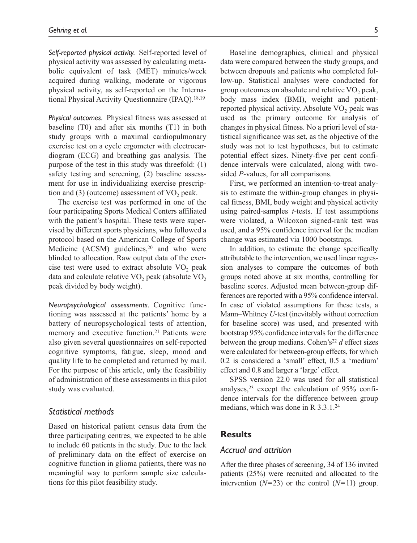*Self-reported physical activity.* Self-reported level of physical activity was assessed by calculating metabolic equivalent of task (MET) minutes/week acquired during walking, moderate or vigorous physical activity, as self-reported on the International Physical Activity Questionnaire (IPAQ).<sup>18,19</sup>

*Physical outcomes.* Physical fitness was assessed at baseline (T0) and after six months (T1) in both study groups with a maximal cardiopulmonary exercise test on a cycle ergometer with electrocardiogram (ECG) and breathing gas analysis. The purpose of the test in this study was threefold: (1) safety testing and screening, (2) baseline assessment for use in individualizing exercise prescription and  $(3)$  (outcome) assessment of  $VO<sub>2</sub>$  peak.

The exercise test was performed in one of the four participating Sports Medical Centers affiliated with the patient's hospital. These tests were supervised by different sports physicians, who followed a protocol based on the American College of Sports Medicine  $(ACSM)$  guidelines.<sup>20</sup> and who were blinded to allocation. Raw output data of the exercise test were used to extract absolute  $VO<sub>2</sub>$  peak data and calculate relative  $VO<sub>2</sub>$  peak (absolute  $VO<sub>2</sub>$ peak divided by body weight).

*Neuropsychological assessments.* Cognitive functioning was assessed at the patients' home by a battery of neuropsychological tests of attention, memory and executive function.<sup>21</sup> Patients were also given several questionnaires on self-reported cognitive symptoms, fatigue, sleep, mood and quality life to be completed and returned by mail. For the purpose of this article, only the feasibility of administration of these assessments in this pilot study was evaluated.

## *Statistical methods*

Based on historical patient census data from the three participating centres, we expected to be able to include 60 patients in the study. Due to the lack of preliminary data on the effect of exercise on cognitive function in glioma patients, there was no meaningful way to perform sample size calculations for this pilot feasibility study.

Baseline demographics, clinical and physical data were compared between the study groups, and between dropouts and patients who completed follow-up. Statistical analyses were conducted for group outcomes on absolute and relative  $VO<sub>2</sub>$  peak, body mass index (BMI), weight and patientreported physical activity. Absolute  $VO<sub>2</sub>$  peak was used as the primary outcome for analysis of changes in physical fitness. No a priori level of statistical significance was set, as the objective of the study was not to test hypotheses, but to estimate potential effect sizes. Ninety-five per cent confidence intervals were calculated, along with twosided *P*-values, for all comparisons.

First, we performed an intention-to-treat analysis to estimate the within-group changes in physical fitness, BMI, body weight and physical activity using paired-samples *t*-tests. If test assumptions were violated, a Wilcoxon signed-rank test was used, and a 95% confidence interval for the median change was estimated via 1000 bootstraps.

In addition, to estimate the change specifically attributable to the intervention, we used linear regression analyses to compare the outcomes of both groups noted above at six months, controlling for baseline scores. Adjusted mean between-group differences are reported with a 95% confidence interval. In case of violated assumptions for these tests, a Mann–Whitney *U*-test (inevitably without correction for baseline score) was used, and presented with bootstrap 95% confidence intervals for the difference between the group medians. Cohen's<sup>22</sup>  $d$  effect sizes were calculated for between-group effects, for which 0.2 is considered a 'small' effect, 0.5 a 'medium' effect and 0.8 and larger a 'large' effect.

SPSS version 22.0 was used for all statistical analyses,  $23$  except the calculation of 95% confidence intervals for the difference between group medians, which was done in R 3.3.1.24

## **Results**

#### *Accrual and attrition*

After the three phases of screening, 34 of 136 invited patients (25%) were recruited and allocated to the intervention  $(N=23)$  or the control  $(N=11)$  group.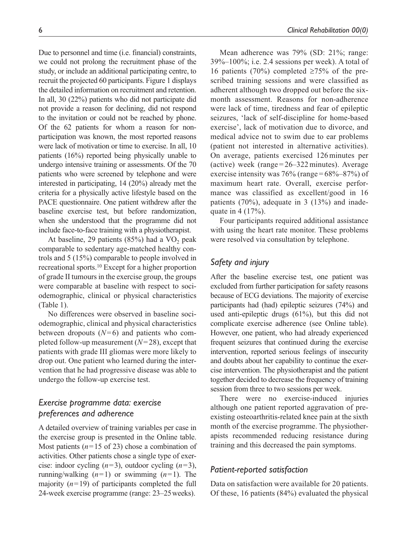Due to personnel and time (i.e. financial) constraints, we could not prolong the recruitment phase of the study, or include an additional participating centre, to recruit the projected 60 participants. Figure 1 displays the detailed information on recruitment and retention. In all, 30 (22%) patients who did not participate did not provide a reason for declining, did not respond to the invitation or could not be reached by phone. Of the 62 patients for whom a reason for nonparticipation was known, the most reported reasons were lack of motivation or time to exercise. In all, 10 patients (16%) reported being physically unable to undergo intensive training or assessments. Of the 70 patients who were screened by telephone and were interested in participating, 14 (20%) already met the criteria for a physically active lifestyle based on the PACE questionnaire. One patient withdrew after the baseline exercise test, but before randomization, when she understood that the programme did not include face-to-face training with a physiotherapist.

At baseline, 29 patients  $(85%)$  had a VO<sub>2</sub> peak comparable to sedentary age-matched healthy controls and 5 (15%) comparable to people involved in recreational sports.10 Except for a higher proportion of grade II tumours in the exercise group, the groups were comparable at baseline with respect to sociodemographic, clinical or physical characteristics (Table 1).

No differences were observed in baseline sociodemographic, clinical and physical characteristics between dropouts (*N*=6) and patients who completed follow-up measurement (*N*=28), except that patients with grade III gliomas were more likely to drop out. One patient who learned during the intervention that he had progressive disease was able to undergo the follow-up exercise test.

# *Exercise programme data: exercise preferences and adherence*

A detailed overview of training variables per case in the exercise group is presented in the [Online table.](http://journals.sagepub.com/doi/suppl/10.1177/0269215517728326) Most patients  $(n=15 \text{ of } 23)$  chose a combination of activities. Other patients chose a single type of exercise: indoor cycling (*n*=3), outdoor cycling (*n*=3), running/walking  $(n=1)$  or swimming  $(n=1)$ . The majority  $(n=19)$  of participants completed the full 24-week exercise programme (range: 23–25weeks).

Mean adherence was 79% (SD: 21%; range: 39%–100%; i.e. 2.4 sessions per week). A total of 16 patients (70%) completed ≥75% of the prescribed training sessions and were classified as adherent although two dropped out before the sixmonth assessment. Reasons for non-adherence were lack of time, tiredness and fear of epileptic seizures, 'lack of self-discipline for home-based exercise', lack of motivation due to divorce, and medical advice not to swim due to ear problems (patient not interested in alternative activities). On average, patients exercised 126minutes per (active) week (range  $= 26 - 322$  minutes). Average exercise intensity was  $76\%$  (range =  $68\% - 87\%$ ) of maximum heart rate. Overall, exercise performance was classified as excellent/good in 16 patients (70%), adequate in 3 (13%) and inadequate in 4 (17%).

Four participants required additional assistance with using the heart rate monitor. These problems were resolved via consultation by telephone.

## *Safety and injury*

After the baseline exercise test, one patient was excluded from further participation for safety reasons because of ECG deviations. The majority of exercise participants had (had) epileptic seizures (74%) and used anti-epileptic drugs (61%), but this did not complicate exercise adherence (see [Online table\)](http://journals.sagepub.com/doi/suppl/10.1177/0269215517728326). However, one patient, who had already experienced frequent seizures that continued during the exercise intervention, reported serious feelings of insecurity and doubts about her capability to continue the exercise intervention. The physiotherapist and the patient together decided to decrease the frequency of training session from three to two sessions per week.

There were no exercise-induced injuries although one patient reported aggravation of preexisting osteoarthritis-related knee pain at the sixth month of the exercise programme. The physiotherapists recommended reducing resistance during training and this decreased the pain symptoms.

## *Patient-reported satisfaction*

Data on satisfaction were available for 20 patients. Of these, 16 patients (84%) evaluated the physical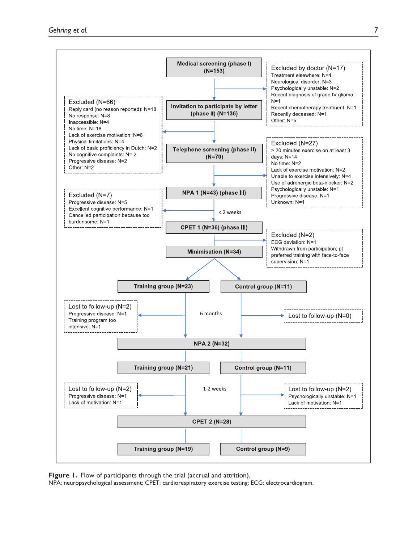

**Figure 1.** Flow of participants through the trial (accrual and attrition).

NPA: neuropsychological assessment; CPET: cardiorespiratory exercise testing; ECG: electrocardiogram.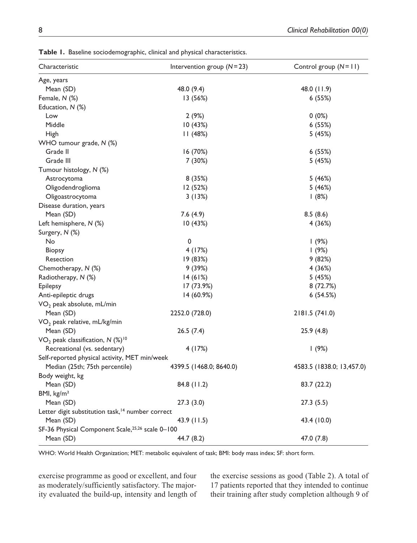| Characteristic                                               | Intervention group $(N=23)$ | Control group $(N=11)$    |
|--------------------------------------------------------------|-----------------------------|---------------------------|
| Age, years                                                   |                             |                           |
| Mean (SD)                                                    | 48.0 (9.4)                  | 48.0 (11.9)               |
| Female, N (%)                                                | 13 (56%)                    | 6(55%)                    |
| Education, N (%)                                             |                             |                           |
| Low                                                          | 2(9%)                       | $0(0\%)$                  |
| Middle                                                       | 10(43%)                     | 6(55%)                    |
| High                                                         | 11(48%)                     | 5 (45%)                   |
| WHO tumour grade, N (%)                                      |                             |                           |
| Grade II                                                     | 16 (70%)                    | 6(55%)                    |
| Grade III                                                    | 7 (30%)                     | 5 (45%)                   |
| Tumour histology, N (%)                                      |                             |                           |
| Astrocytoma                                                  | 8(35%)                      | 5 (46%)                   |
| Oligodendroglioma                                            | 12 (52%)                    | 5 (46%)                   |
| Oligoastrocytoma                                             | 3(13%)                      | 1(8%)                     |
| Disease duration, years                                      |                             |                           |
| Mean (SD)                                                    | 7.6(4.9)                    | 8.5(8.6)                  |
| Left hemisphere, N (%)                                       | 10(43%)                     | 4 (36%)                   |
| Surgery, N (%)                                               |                             |                           |
| No                                                           | 0                           | 1(9%)                     |
| <b>Biopsy</b>                                                | 4 (17%)                     | 1(9%)                     |
| Resection                                                    | 19 (83%)                    | 9(82%)                    |
| Chemotherapy, N (%)                                          | 9(39%)                      | 4 (36%)                   |
| Radiotherapy, N (%)                                          | 14(61%)                     | 5 (45%)                   |
| <b>Epilepsy</b>                                              | 17 (73.9%)                  | 8 (72.7%)                 |
| Anti-epileptic drugs                                         | 14 (60.9%)                  | 6(54.5%)                  |
| VO <sub>2</sub> peak absolute, mL/min                        |                             |                           |
| Mean (SD)                                                    | 2252.0 (728.0)              | 2181.5 (741.0)            |
| VO <sub>2</sub> peak relative, mL/kg/min                     |                             |                           |
| Mean (SD)                                                    | 26.5(7.4)                   | 25.9 (4.8)                |
| VO <sub>2</sub> peak classification, $N$ (%) <sup>10</sup>   |                             |                           |
| Recreational (vs. sedentary)                                 | 4 (17%)                     | 1(9%)                     |
| Self-reported physical activity, MET min/week                |                             |                           |
| Median (25th; 75th percentile)                               | 4399.5 (1468.0; 8640.0)     | 4583.5 (1838.0; 13,457.0) |
| Body weight, kg                                              |                             |                           |
| Mean (SD)                                                    | 84.8 (11.2)                 | 83.7 (22.2)               |
| BMI, kg/m <sup>2</sup>                                       |                             |                           |
| Mean (SD)                                                    | 27.3(3.0)                   | 27.3(5.5)                 |
| Letter digit substitution task, <sup>14</sup> number correct |                             |                           |
| Mean (SD)                                                    | 43.9 (11.5)                 | 43.4 (10.0)               |
| SF-36 Physical Component Scale, 25,26 scale 0-100            |                             |                           |
| Mean (SD)                                                    | 44.7 (8.2)                  | 47.0 (7.8)                |

**Table 1.** Baseline sociodemographic, clinical and physical characteristics.

WHO: World Health Organization; MET: metabolic equivalent of task; BMI: body mass index; SF: short form.

exercise programme as good or excellent, and four as moderately/sufficiently satisfactory. The majority evaluated the build-up, intensity and length of the exercise sessions as good (Table 2). A total of 17 patients reported that they intended to continue their training after study completion although 9 of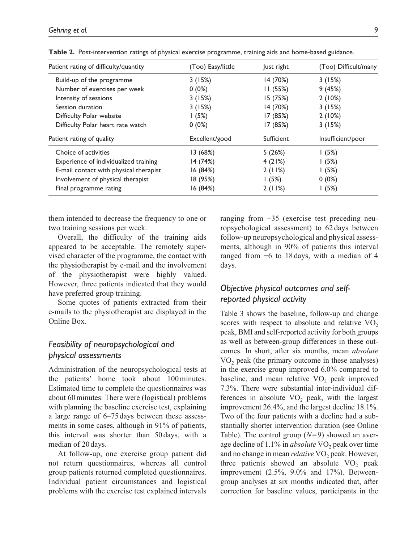| Patient rating of difficulty/quantity  | (Too) Easy/little | lust right | (Too) Difficult/many |
|----------------------------------------|-------------------|------------|----------------------|
| Build-up of the programme              | 3(15%)            | 14 (70%)   | 3(15%)               |
| Number of exercises per week           | $0(0\%)$          | 11(55%)    | 9(45%)               |
| Intensity of sessions                  | 3(15%)            | 15 (75%)   | 2(10%)               |
| Session duration                       | 3(15%)            | 14 (70%)   | 3(15%)               |
| Difficulty Polar website               | 1(5%)             | 17 (85%)   | 2(10%)               |
| Difficulty Polar heart rate watch      | $0(0\%)$          | 17 (85%)   | 3(15%)               |
| Patient rating of quality              | Excellent/good    | Sufficient | Insufficient/poor    |
| Choice of activities                   | 13(68%)           | 5(26%)     | 1(5%)                |
| Experience of individualized training  | 14 (74%)          | 4(21%)     | 1(5%)                |
| E-mail contact with physical therapist | 16 (84%)          | 2(11%)     | 1(5%)                |
| Involvement of physical therapist      | 18 (95%)          | 1(5%)      | $0(0\%)$             |
| Final programme rating                 | 16 (84%)          | 2(11%)     | 1(5%)                |

**Table 2.** Post-intervention ratings of physical exercise programme, training aids and home-based guidance.

them intended to decrease the frequency to one or two training sessions per week.

Overall, the difficulty of the training aids appeared to be acceptable. The remotely supervised character of the programme, the contact with the physiotherapist by e-mail and the involvement of the physiotherapist were highly valued. However, three patients indicated that they would have preferred group training.

Some quotes of patients extracted from their e-mails to the physiotherapist are displayed in the [Online Box.](http://journals.sagepub.com/doi/suppl/10.1177/0269215517728326)

# *Feasibility of neuropsychological and physical assessments*

Administration of the neuropsychological tests at the patients' home took about 100minutes. Estimated time to complete the questionnaires was about 60minutes. There were (logistical) problems with planning the baseline exercise test, explaining a large range of 6–75 days between these assessments in some cases, although in 91% of patients, this interval was shorter than 50days, with a median of 20 days.

At follow-up, one exercise group patient did not return questionnaires, whereas all control group patients returned completed questionnaires. Individual patient circumstances and logistical problems with the exercise test explained intervals ranging from −35 (exercise test preceding neuropsychological assessment) to 62 days between follow-up neuropsychological and physical assessments, although in 90% of patients this interval ranged from −6 to 18 days, with a median of 4 days.

# *Objective physical outcomes and selfreported physical activity*

Table 3 shows the baseline, follow-up and change scores with respect to absolute and relative  $VO<sub>2</sub>$ peak, BMI and self-reported activity for both groups as well as between-group differences in these outcomes. In short, after six months, mean *absolute* VO<sub>2</sub> peak (the primary outcome in these analyses) in the exercise group improved 6.0% compared to baseline, and mean relative  $VO<sub>2</sub>$  peak improved 7.3%. There were substantial inter-individual differences in absolute  $VO<sub>2</sub>$  peak, with the largest improvement 26.4%, and the largest decline 18.1%. Two of the four patients with a decline had a substantially shorter intervention duration (see [Online](http://journals.sagepub.com/doi/suppl/10.1177/0269215517728326) [Table](http://journals.sagepub.com/doi/suppl/10.1177/0269215517728326)). The control group (*N*=9) showed an average decline of 1.1% in *absolute* VO<sub>2</sub> peak over time and no change in mean *relative* VO<sub>2</sub> peak. However, three patients showed an absolute  $VO<sub>2</sub>$  peak improvement (2.5%, 9.0% and 17%). Betweengroup analyses at six months indicated that, after correction for baseline values, participants in the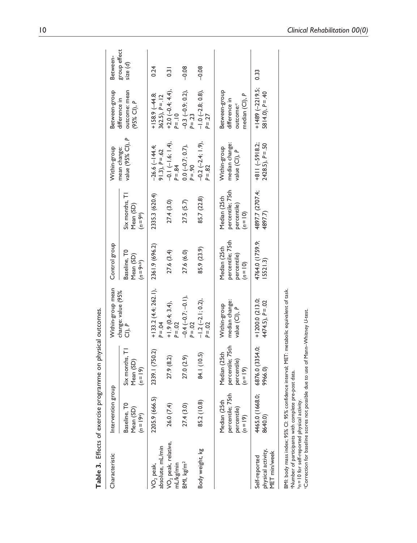| Table 3. Effects of exercise programme on physical outcomes.                                                                                                                                      |                                                               |                                                               |                                                                                           |                                                               |                                                               |                                                 |                                                                           |                         |
|---------------------------------------------------------------------------------------------------------------------------------------------------------------------------------------------------|---------------------------------------------------------------|---------------------------------------------------------------|-------------------------------------------------------------------------------------------|---------------------------------------------------------------|---------------------------------------------------------------|-------------------------------------------------|---------------------------------------------------------------------------|-------------------------|
| Characteristic                                                                                                                                                                                    | Intervention group                                            |                                                               | Within-group mean                                                                         | Control group                                                 |                                                               | Within-group                                    | Between-group                                                             | Between-                |
|                                                                                                                                                                                                   | Baseline, TO<br>Mean (SD)<br>$(n = 19a)$                      | Six months, TI<br>Mean (SD)<br>$(n = 19)$                     | change: value (95%<br>CI), P                                                              | Baseline, TO<br>Mean (SD)<br>$(n = 9^{a,b})$                  | Six months, T1<br>Mean (SD)<br>$(n = 9b)$                     | value (95% Cl), P<br>mean change:               | outcome: mean<br>difference in<br>$(95%$ CI), P                           | group effect<br>size(d) |
| absolute, mL/min<br>VO <sub>2</sub> peak,                                                                                                                                                         | 2205.9 (666.5)                                                | 2339.1 (750.2)                                                | $+133.2(4.4; 262.1)$ ,<br>$P = Q$                                                         | 2361.9 (696.2)                                                | 2335.3 (620.4)                                                | $-26.6$ (-144.4;<br>$91.3$ , $P = .62$          | $+158.9(-44.8$<br>$362.5$ , $P = .12$                                     | 0.24                    |
| VO <sub>2</sub> peak, relative,<br>mL/kg/min                                                                                                                                                      | 26.0 (7.4)                                                    | 27.9 (8.2)                                                    | +1.9 (0.4; 3.4),<br>$P = .02$                                                             | 27.6(3.4)                                                     | 27.4(3.0)                                                     | $-0.1 (-1.6; 1.4),$<br>$P = .84$                | +2.0 (-0.4; 4.4),<br>$P = .10$                                            | $\overline{0.3}$        |
| BMI, kg/m <sup>2</sup>                                                                                                                                                                            | 27.4(3.0)                                                     | 27.0 (2.9)                                                    | $-0.4(-0.7; -0.1)$ ,<br>$P = .02$                                                         | 27.6 (6.0)                                                    | 27.5(5.7)                                                     | $0.0 (-0.7; 0.7)$ ,<br>$P = .90$                | $-0.3$ ( $-0.9$ ; 0.2),<br>$P = .23$                                      | $-0.08$                 |
| Body weight, kg                                                                                                                                                                                   | 85.2 (10.8)                                                   | 84.1 (10.5)                                                   | $-1.2$ $(-2.1; 0.2)$ ,<br>$P = .02$                                                       | 85.9 (23.9)                                                   | 85.7 (22.8)                                                   | $-0.2$ $(-2.4; 1.9)$ ,<br>$P = 82$              | $-1.0$ $(-2.8; 0.8)$ ,<br>$P = 27$                                        | $-0.08$                 |
|                                                                                                                                                                                                   | percentile; 75th<br>Median (25th<br>percentile)<br>$(n = 19)$ | percentile; 75th<br>Median (25th<br>percentile)<br>$(n = 19)$ | median change:<br>Within-group<br>value (CI), P                                           | percentile; 75th<br>Median (25th<br>percentile)<br>$(n = 10)$ | percentile; 75th<br>Median (25th<br>percentile)<br>$(n = 10)$ | median change:<br>Within-group<br>value (CI), P | Between-group<br>median (CI), P<br>difference in<br>outcome: <sup>c</sup> |                         |
| physical activity.<br>MET min/week<br>Self-reported                                                                                                                                               | 4465.0 (1668.0;<br>8640.0)                                    | 6876.0 (3354.0;<br>9966.0)                                    | $+1200.0(213.0;$<br>$4474.5$ , $P = .02$                                                  | 4764.0 (1759.9;<br>15521.3                                    | 4897.7 (2707.4;<br>4897.7)                                    | $+811(-5918.2;$<br>$2428.5$ , $P = .50$         | $+1489 (-2219.5;$<br>$5814.0$ , $P = .40$                                 | 0.33                    |
| Correction for baseline scores not possible due to use of Mann-Whitney U-test.<br><sup>a</sup> Number of participants with complete pre-post data.<br>n = 10 for self-reported physical activity. |                                                               |                                                               | BMI: body mass index; 95% CI: 95% confidence interval; MET: metabolic equivalent of task. |                                                               |                                                               |                                                 |                                                                           |                         |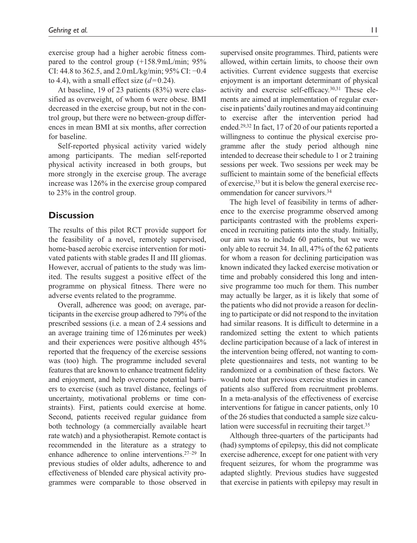exercise group had a higher aerobic fitness compared to the control group (+158.9mL/min; 95% CI: 44.8 to 362.5, and  $2.0$  mL/kg/min; 95% CI:  $-0.4$ to 4.4), with a small effect size  $(d=0.24)$ .

At baseline, 19 of 23 patients (83%) were classified as overweight, of whom 6 were obese. BMI decreased in the exercise group, but not in the control group, but there were no between-group differences in mean BMI at six months, after correction for baseline.

Self-reported physical activity varied widely among participants. The median self-reported physical activity increased in both groups, but more strongly in the exercise group. The average increase was 126% in the exercise group compared to 23% in the control group.

## **Discussion**

The results of this pilot RCT provide support for the feasibility of a novel, remotely supervised, home-based aerobic exercise intervention for motivated patients with stable grades II and III gliomas. However, accrual of patients to the study was limited. The results suggest a positive effect of the programme on physical fitness. There were no adverse events related to the programme.

Overall, adherence was good; on average, participants in the exercise group adhered to 79% of the prescribed sessions (i.e. a mean of 2.4 sessions and an average training time of 126minutes per week) and their experiences were positive although 45% reported that the frequency of the exercise sessions was (too) high. The programme included several features that are known to enhance treatment fidelity and enjoyment, and help overcome potential barriers to exercise (such as travel distance, feelings of uncertainty, motivational problems or time constraints). First, patients could exercise at home. Second, patients received regular guidance from both technology (a commercially available heart rate watch) and a physiotherapist. Remote contact is recommended in the literature as a strategy to enhance adherence to online interventions.27–29 In previous studies of older adults, adherence to and effectiveness of blended care physical activity programmes were comparable to those observed in

supervised onsite programmes. Third, patients were allowed, within certain limits, to choose their own activities. Current evidence suggests that exercise enjoyment is an important determinant of physical activity and exercise self-efficacy.30,31 These elements are aimed at implementation of regular exercise in patients' daily routines and may aid continuing to exercise after the intervention period had ended.29,32 In fact, 17 of 20 of our patients reported a willingness to continue the physical exercise programme after the study period although nine intended to decrease their schedule to 1 or 2 training sessions per week. Two sessions per week may be sufficient to maintain some of the beneficial effects of exercise,33 but it is below the general exercise recommendation for cancer survivors.34

The high level of feasibility in terms of adherence to the exercise programme observed among participants contrasted with the problems experienced in recruiting patients into the study. Initially, our aim was to include 60 patients, but we were only able to recruit 34. In all, 47% of the 62 patients for whom a reason for declining participation was known indicated they lacked exercise motivation or time and probably considered this long and intensive programme too much for them. This number may actually be larger, as it is likely that some of the patients who did not provide a reason for declining to participate or did not respond to the invitation had similar reasons. It is difficult to determine in a randomized setting the extent to which patients decline participation because of a lack of interest in the intervention being offered, not wanting to complete questionnaires and tests, not wanting to be randomized or a combination of these factors. We would note that previous exercise studies in cancer patients also suffered from recruitment problems. In a meta-analysis of the effectiveness of exercise interventions for fatigue in cancer patients, only 10 of the 26 studies that conducted a sample size calculation were successful in recruiting their target.<sup>35</sup>

Although three-quarters of the participants had (had) symptoms of epilepsy, this did not complicate exercise adherence, except for one patient with very frequent seizures, for whom the programme was adapted slightly. Previous studies have suggested that exercise in patients with epilepsy may result in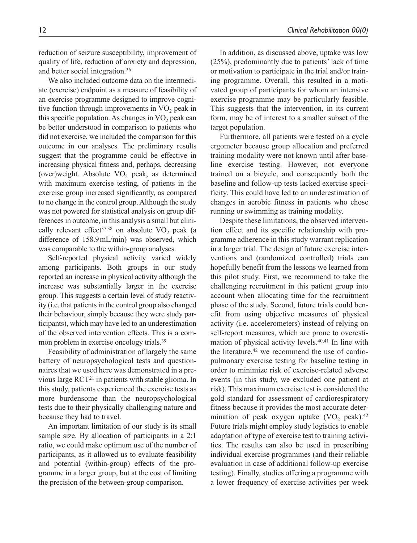reduction of seizure susceptibility, improvement of quality of life, reduction of anxiety and depression, and better social integration.36

We also included outcome data on the intermediate (exercise) endpoint as a measure of feasibility of an exercise programme designed to improve cognitive function through improvements in  $VO<sub>2</sub>$  peak in this specific population. As changes in  $VO<sub>2</sub>$  peak can be better understood in comparison to patients who did not exercise, we included the comparison for this outcome in our analyses. The preliminary results suggest that the programme could be effective in increasing physical fitness and, perhaps, decreasing (over)weight. Absolute  $VO<sub>2</sub>$  peak, as determined with maximum exercise testing, of patients in the exercise group increased significantly, as compared to no change in the control group. Although the study was not powered for statistical analysis on group differences in outcome, in this analysis a small but clinically relevant effect<sup>37,38</sup> on absolute  $VO<sub>2</sub>$  peak (a difference of 158.9mL/min) was observed, which was comparable to the within-group analyses.

Self-reported physical activity varied widely among participants. Both groups in our study reported an increase in physical activity although the increase was substantially larger in the exercise group. This suggests a certain level of study reactivity (i.e. that patients in the control group also changed their behaviour, simply because they were study participants), which may have led to an underestimation of the observed intervention effects. This is a common problem in exercise oncology trials.<sup>39</sup>

Feasibility of administration of largely the same battery of neuropsychological tests and questionnaires that we used here was demonstrated in a previous large RCT21 in patients with stable glioma. In this study, patients experienced the exercise tests as more burdensome than the neuropsychological tests due to their physically challenging nature and because they had to travel.

An important limitation of our study is its small sample size. By allocation of participants in a 2:1 ratio, we could make optimum use of the number of participants, as it allowed us to evaluate feasibility and potential (within-group) effects of the programme in a larger group, but at the cost of limiting the precision of the between-group comparison.

In addition, as discussed above, uptake was low (25%), predominantly due to patients' lack of time or motivation to participate in the trial and/or training programme. Overall, this resulted in a motivated group of participants for whom an intensive exercise programme may be particularly feasible. This suggests that the intervention, in its current form, may be of interest to a smaller subset of the target population.

Furthermore, all patients were tested on a cycle ergometer because group allocation and preferred training modality were not known until after baseline exercise testing. However, not everyone trained on a bicycle, and consequently both the baseline and follow-up tests lacked exercise specificity. This could have led to an underestimation of changes in aerobic fitness in patients who chose running or swimming as training modality.

Despite these limitations, the observed intervention effect and its specific relationship with programme adherence in this study warrant replication in a larger trial. The design of future exercise interventions and (randomized controlled) trials can hopefully benefit from the lessons we learned from this pilot study. First, we recommend to take the challenging recruitment in this patient group into account when allocating time for the recruitment phase of the study. Second, future trials could benefit from using objective measures of physical activity (i.e. accelerometers) instead of relying on self-report measures, which are prone to overestimation of physical activity levels.<sup>40,41</sup> In line with the literature, $42$  we recommend the use of cardiopulmonary exercise testing for baseline testing in order to minimize risk of exercise-related adverse events (in this study, we excluded one patient at risk). This maximum exercise test is considered the gold standard for assessment of cardiorespiratory fitness because it provides the most accurate determination of peak oxygen uptake  $(VO_2)$  peak).<sup>42</sup> Future trials might employ study logistics to enable adaptation of type of exercise test to training activities. The results can also be used in prescribing individual exercise programmes (and their reliable evaluation in case of additional follow-up exercise testing). Finally, studies offering a programme with a lower frequency of exercise activities per week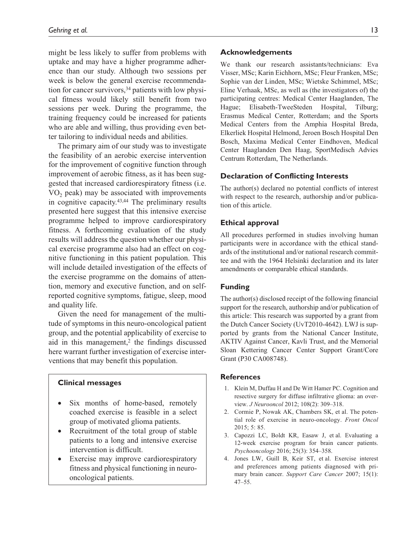might be less likely to suffer from problems with uptake and may have a higher programme adherence than our study. Although two sessions per week is below the general exercise recommendation for cancer survivors,  $34$  patients with low physical fitness would likely still benefit from two sessions per week. During the programme, the training frequency could be increased for patients who are able and willing, thus providing even better tailoring to individual needs and abilities.

The primary aim of our study was to investigate the feasibility of an aerobic exercise intervention for the improvement of cognitive function through improvement of aerobic fitness, as it has been suggested that increased cardiorespiratory fitness (i.e.  $VO<sub>2</sub>$  peak) may be associated with improvements in cognitive capacity.43,44 The preliminary results presented here suggest that this intensive exercise programme helped to improve cardiorespiratory fitness. A forthcoming evaluation of the study results will address the question whether our physical exercise programme also had an effect on cognitive functioning in this patient population. This will include detailed investigation of the effects of the exercise programme on the domains of attention, memory and executive function, and on selfreported cognitive symptoms, fatigue, sleep, mood and quality life.

Given the need for management of the multitude of symptoms in this neuro-oncological patient group, and the potential applicability of exercise to aid in this management, $2$  the findings discussed here warrant further investigation of exercise interventions that may benefit this population.

#### **Clinical messages**

- Six months of home-based, remotely coached exercise is feasible in a select group of motivated glioma patients.
- Recruitment of the total group of stable patients to a long and intensive exercise intervention is difficult.
- Exercise may improve cardiorespiratory fitness and physical functioning in neurooncological patients.

#### **Acknowledgements**

We thank our research assistants/technicians: Eva Visser, MSc; Karin Eichhorn, MSc; Fleur Franken, MSc; Sophie van der Linden, MSc; Wietske Schimmel, MSc; Eline Verhaak, MSc, as well as (the investigators of) the participating centres: Medical Center Haaglanden, The Hague; Elisabeth-TweeSteden Hospital, Tilburg; Erasmus Medical Center, Rotterdam; and the Sports Medical Centers from the Amphia Hospital Breda, Elkerliek Hospital Helmond, Jeroen Bosch Hospital Den Bosch, Maxima Medical Center Eindhoven, Medical Center Haaglanden Den Haag, SportMedisch Advies Centrum Rotterdam, The Netherlands.

### **Declaration of Conflicting Interests**

The author(s) declared no potential conflicts of interest with respect to the research, authorship and/or publication of this article.

#### **Ethical approval**

All procedures performed in studies involving human participants were in accordance with the ethical standards of the institutional and/or national research committee and with the 1964 Helsinki declaration and its later amendments or comparable ethical standards.

### **Funding**

The author(s) disclosed receipt of the following financial support for the research, authorship and/or publication of this article: This research was supported by a grant from the Dutch Cancer Society (UvT2010-4642). LWJ is supported by grants from the National Cancer Institute, AKTIV Against Cancer, Kavli Trust, and the Memorial Sloan Kettering Cancer Center Support Grant/Core Grant (P30 CA008748).

### **References**

- 1. Klein M, Duffau H and De Witt Hamer PC. Cognition and resective surgery for diffuse infiltrative glioma: an overview. *J Neurooncol* 2012; 108(2): 309–318.
- 2. Cormie P, Nowak AK, Chambers SK, et al. The potential role of exercise in neuro-oncology. *Front Oncol* 2015; 5: 85.
- 3. Capozzi LC, Boldt KR, Easaw J, et al. Evaluating a 12-week exercise program for brain cancer patients. *Psychooncology* 2016; 25(3): 354–358.
- 4. Jones LW, Guill B, Keir ST, et al. Exercise interest and preferences among patients diagnosed with primary brain cancer. *Support Care Cancer* 2007; 15(1): 47–55.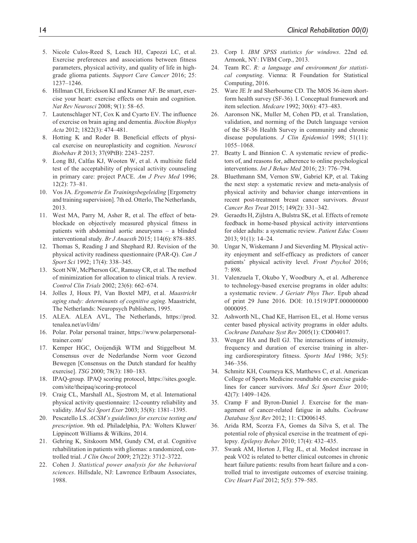- 5. Nicole Culos-Reed S, Leach HJ, Capozzi LC, et al. Exercise preferences and associations between fitness parameters, physical activity, and quality of life in highgrade glioma patients. *Support Care Cancer* 2016; 25: 1237–1246.
- 6. Hillman CH, Erickson KI and Kramer AF. Be smart, exercise your heart: exercise effects on brain and cognition. *Nat Rev Neurosci* 2008; 9(1): 58–65.
- 7. Lautenschlager NT, Cox K and Cyarto EV. The influence of exercise on brain aging and dementia. *Biochim Biophys Acta* 2012; 1822(3): 474–481.
- 8. Hotting K and Roder B. Beneficial effects of physical exercise on neuroplasticity and cognition. *Neurosci Biobehav R* 2013; 37(9PtB): 2243–2257.
- 9. Long BJ, Calfas KJ, Wooten W, et al. A multisite field test of the acceptability of physical activity counseling in primary care: project PACE. *Am J Prev Med* 1996; 12(2): 73–81.
- 10. Vos JA. *Ergometrie En Trainingsbegeleiding* [Ergometry and training supervision]. 7th ed. Otterlo, The Netherlands, 2013.
- 11. West MA, Parry M, Asher R, et al. The effect of betablockade on objectively measured physical fitness in patients with abdominal aortic aneurysms – a blinded interventional study. *Br J Anaesth* 2015; 114(6): 878–885.
- 12. Thomas S, Reading J and Shephard RJ. Revision of the physical activity readiness questionnaire (PAR-Q). *Can J Sport Sci* 1992; 17(4): 338–345.
- 13. Scott NW, McPherson GC, Ramsay CR, et al. The method of minimization for allocation to clinical trials. A review. *Control Clin Trials* 2002; 23(6): 662–674.
- 14. Jolles J, Houx PJ, Van Boxtel MPJ, et al. *Maastricht aging study: determinants of cognitive aging*. Maastricht, The Netherlands: Neuropsych Publishers, 1995.
- 15. ALEA. ALEA AVL, The Netherlands, [https://prod.](https://prod.tenalea.net/avl/dm/) [tenalea.net/avl/dm/](https://prod.tenalea.net/avl/dm/)
- 16. Polar. Polar personal trainer, [https://www.polarpersonal](https://www.polarpersonaltrainer.com/)[trainer.com/](https://www.polarpersonaltrainer.com/)
- 17. Kemper HGC, Ooijendijk WTM and Stiggelbout M. Consensus over de Nederlandse Norm voor Gezond Bewegen [Consensus on the Dutch standard for healthy exercise]. *TSG* 2000; 78(3): 180–183.
- 18. IPAQ-group. IPAQ scoring protocol, [https://sites.google.](https://sites.google.com/site/theipaq/scoring-protocol) [com/site/theipaq/scoring-protocol](https://sites.google.com/site/theipaq/scoring-protocol)
- 19. Craig CL, Marshall AL, Sjostrom M, et al. International physical activity questionnaire: 12-country reliability and validity. *Med Sci Sport Exer* 2003; 35(8): 1381–1395.
- 20. Pescatello LS. *ACSM's guidelines for exercise testing and prescription*. 9th ed. Philadelphia, PA: Wolters Kluwer/ Lippincott Williams & Wilkins, 2014.
- 21. Gehring K, Sitskoorn MM, Gundy CM, et al. Cognitive rehabilitation in patients with gliomas: a randomized, controlled trial. *J Clin Oncol* 2009; 27(22): 3712–3722.
- 22. Cohen J. *Statistical power analysis for the behavioral sciences*. Hillsdale, NJ: Lawrence Erlbaum Associates, 1988.
- 23. Corp I. *IBM SPSS statistics for windows*. 22nd ed. Armonk, NY: IVBM Corp., 2013.
- 24. Team RC. *R: a language and environment for statistical computing*. Vienna: R Foundation for Statistical Computing, 2016.
- 25. Ware JE Jr and Sherbourne CD. The MOS 36-item shortform health survey (SF-36). I. Conceptual framework and item selection. *Medcare* 1992; 30(6): 473–483.
- 26. Aaronson NK, Muller M, Cohen PD, et al. Translation, validation, and norming of the Dutch language version of the SF-36 Health Survey in community and chronic disease populations. *J Clin Epidemiol* 1998; 51(11): 1055–1068.
- 27. Beatty L and Binnion C. A systematic review of predictors of, and reasons for, adherence to online psychological interventions. *Int J Behav Med* 2016; 23: 776–794.
- 28. Bluethmann SM, Vernon SW, Gabriel KP, et al. Taking the next step: a systematic review and meta-analysis of physical activity and behavior change interventions in recent post-treatment breast cancer survivors. *Breast Cancer Res Treat* 2015; 149(2): 331–342.
- 29. Geraedts H, Zijlstra A, Bulstra SK, et al. Effects of remote feedback in home-based physical activity interventions for older adults: a systematic review. *Patient Educ Couns* 2013; 91(1): 14–24.
- 30. Ungar N, Wiskemann J and Sieverding M. Physical activity enjoyment and self-efficacy as predictors of cancer patients' physical activity level. *Front Psychol* 2016; 7: 898.
- 31. Valenzuela T, Okubo Y, Woodbury A, et al. Adherence to technology-based exercise programs in older adults: a systematic review. *J Geriatr Phys Ther*. Epub ahead of print 29 June 2016. DOI: 10.1519/JPT.000000000 0000095.
- 32. Ashworth NL, Chad KE, Harrison EL, et al. Home versus center based physical activity programs in older adults. *Cochrane Database Syst Rev* 2005(1): CD004017.
- 33. Wenger HA and Bell GJ. The interactions of intensity, frequency and duration of exercise training in altering cardiorespiratory fitness. *Sports Med* 1986; 3(5): 346–356.
- 34. Schmitz KH, Courneya KS, Matthews C, et al. American College of Sports Medicine roundtable on exercise guidelines for cancer survivors. *Med Sci Sport Exer* 2010; 42(7): 1409–1426.
- 35. Cramp F and Byron-Daniel J. Exercise for the management of cancer-related fatigue in adults. *Cochrane Database Syst Rev* 2012; 11: CD006145.
- 36. Arida RM, Scorza FA, Gomes da Silva S, et al. The potential role of physical exercise in the treatment of epilepsy. *Epilepsy Behav* 2010; 17(4): 432–435.
- 37. Swank AM, Horton J, Fleg JL, et al. Modest increase in peak VO2 is related to better clinical outcomes in chronic heart failure patients: results from heart failure and a controlled trial to investigate outcomes of exercise training. *Circ Heart Fail* 2012; 5(5): 579–585.